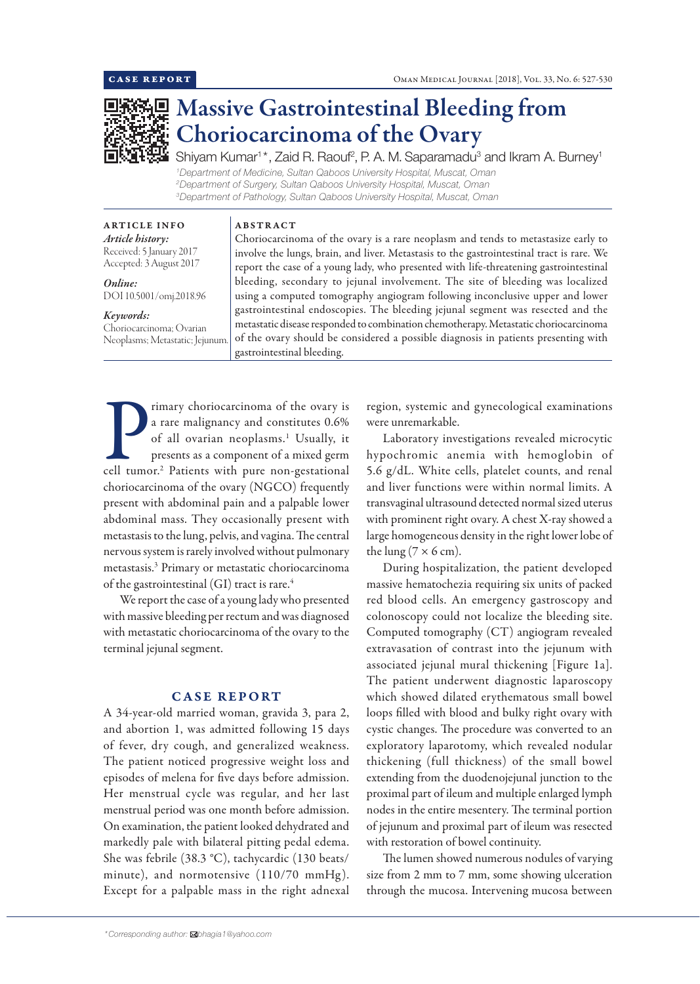

# Massive Gastrointestinal Bleeding from Choriocarcinoma of the Ovary

Shiyam Kumar<sup>1</sup>\*, Zaid R. Raouf<sup>2</sup>, P. A. M. Saparamadu<sup>3</sup> and Ikram A. Burney<sup>1</sup> *Department of Medicine, Sultan Qaboos University Hospital, Muscat, Oman Department of Surgery, Sultan Qaboos University Hospital, Muscat, Oman Department of Pathology, Sultan Qaboos University Hospital, Muscat, Oman*

ARTICLE INFO *Article history:* Received: 5 January 2017 Accepted: 3 August 2017

*Online:* DOI 10.5001/omj.2018.96

#### *Keywords:*

Choriocarcinoma; Ovarian Neoplasms; Metastatic; Jejunum.

Choriocarcinoma of the ovary is a rare neoplasm and tends to metastasize early to involve the lungs, brain, and liver. Metastasis to the gastrointestinal tract is rare. We report the case of a young lady, who presented with life-threatening gastrointestinal bleeding, secondary to jejunal involvement. The site of bleeding was localized using a computed tomography angiogram following inconclusive upper and lower gastrointestinal endoscopies. The bleeding jejunal segment was resected and the metastatic disease responded to combination chemotherapy. Metastatic choriocarcinoma of the ovary should be considered a possible diagnosis in patients presenting with gastrointestinal bleeding.

were unremarkable.

Transport of the ovary is<br>a rare malignancy and constitutes 0.6%<br>of all ovarian neoplasms.<sup>1</sup> Usually, it<br>presents as a component of a mixed germ<br>cell tumor.<sup>2</sup> Patients with pure non-gestational rimary choriocarcinoma of the ovary is a rare malignancy and constitutes 0.6% of all ovarian neoplasms.1 Usually, it presents as a component of a mixed germ choriocarcinoma of the ovary (NGCO) frequently present with abdominal pain and a palpable lower abdominal mass. They occasionally present with metastasis to the lung, pelvis, and vagina. The central nervous system is rarely involved without pulmonary metastasis.3 Primary or metastatic choriocarcinoma of the gastrointestinal (GI) tract is rare.<sup>4</sup>

ABSTRACT

We report the case of a young lady who presented with massive bleeding per rectum and was diagnosed with metastatic choriocarcinoma of the ovary to the terminal jejunal segment.

## CASE REPORT

A 34-year-old married woman, gravida 3, para 2, and abortion 1, was admitted following 15 days of fever, dry cough, and generalized weakness. The patient noticed progressive weight loss and episodes of melena for five days before admission. Her menstrual cycle was regular, and her last menstrual period was one month before admission. On examination, the patient looked dehydrated and markedly pale with bilateral pitting pedal edema. She was febrile (38.3 °C), tachycardic (130 beats/ minute), and normotensive  $(110/70 \text{ mmHg})$ . Except for a palpable mass in the right adnexal

5.6 g/dL. White cells, platelet counts, and renal and liver functions were within normal limits. A transvaginal ultrasound detected normal sized uterus

with prominent right ovary. A chest X-ray showed a large homogeneous density in the right lower lobe of the lung ( $7 \times 6$  cm).

region, systemic and gynecological examinations

Laboratory investigations revealed microcytic hypochromic anemia with hemoglobin of

During hospitalization, the patient developed massive hematochezia requiring six units of packed red blood cells. An emergency gastroscopy and colonoscopy could not localize the bleeding site. Computed tomography (CT) angiogram revealed extravasation of contrast into the jejunum with associated jejunal mural thickening [Figure 1a]. The patient underwent diagnostic laparoscopy which showed dilated erythematous small bowel loops filled with blood and bulky right ovary with cystic changes. The procedure was converted to an exploratory laparotomy, which revealed nodular thickening (full thickness) of the small bowel extending from the duodenojejunal junction to the proximal part of ileum and multiple enlarged lymph nodes in the entire mesentery. The terminal portion of jejunum and proximal part of ileum was resected with restoration of bowel continuity.

The lumen showed numerous nodules of varying size from 2 mm to 7 mm, some showing ulceration through the mucosa. Intervening mucosa between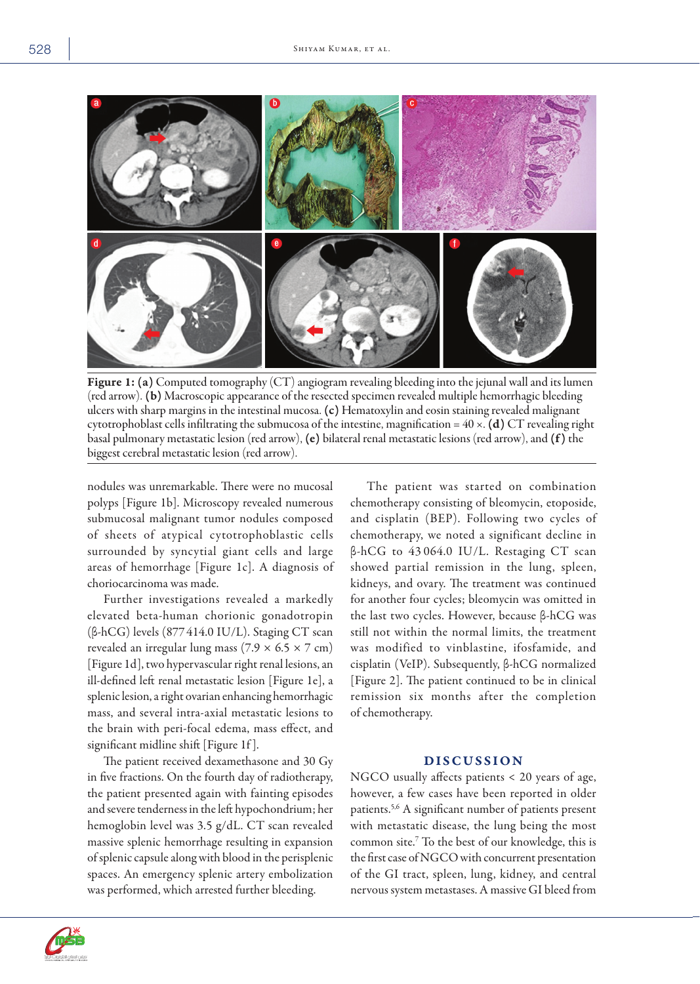

Figure 1: (a) Computed tomography (CT) angiogram revealing bleeding into the jejunal wall and its lumen (red arrow). (b) Macroscopic appearance of the resected specimen revealed multiple hemorrhagic bleeding ulcers with sharp margins in the intestinal mucosa. (c) Hematoxylin and eosin staining revealed malignant cytotrophoblast cells infiltrating the submucosa of the intestine, magnification =  $40 \times$ . (d) CT revealing right basal pulmonary metastatic lesion (red arrow), (e) bilateral renal metastatic lesions (red arrow), and (f ) the biggest cerebral metastatic lesion (red arrow).

nodules was unremarkable. There were no mucosal polyps [Figure 1b]. Microscopy revealed numerous submucosal malignant tumor nodules composed of sheets of atypical cytotrophoblastic cells surrounded by syncytial giant cells and large areas of hemorrhage [Figure 1c]. A diagnosis of choriocarcinoma was made.

Further investigations revealed a markedly elevated beta-human chorionic gonadotropin (β-hCG) levels (877 414.0 IU/L). Staging CT scan revealed an irregular lung mass  $(7.9 \times 6.5 \times 7 \text{ cm})$ [Figure 1d], two hypervascular right renal lesions, an ill-defined left renal metastatic lesion [Figure 1e], a splenic lesion, a right ovarian enhancing hemorrhagic mass, and several intra-axial metastatic lesions to the brain with peri-focal edema, mass effect, and significant midline shift [Figure 1f ].

The patient received dexamethasone and 30 Gy in five fractions. On the fourth day of radiotherapy, the patient presented again with fainting episodes and severe tenderness in the left hypochondrium; her hemoglobin level was 3.5 g/dL. CT scan revealed massive splenic hemorrhage resulting in expansion of splenic capsule along with blood in the perisplenic spaces. An emergency splenic artery embolization was performed, which arrested further bleeding.

The patient was started on combination chemotherapy consisting of bleomycin, etoposide, and cisplatin (BEP). Following two cycles of chemotherapy, we noted a significant decline in β-hCG to 43 064.0 IU/L. Restaging CT scan showed partial remission in the lung, spleen, kidneys, and ovary. The treatment was continued for another four cycles; bleomycin was omitted in the last two cycles. However, because β-hCG was still not within the normal limits, the treatment was modified to vinblastine, ifosfamide, and cisplatin (VeIP). Subsequently, β-hCG normalized [Figure 2]. The patient continued to be in clinical remission six months after the completion of chemotherapy.

## DISCUSSION

NGCO usually affects patients < 20 years of age, however, a few cases have been reported in older patients.5,6 A significant number of patients present with metastatic disease, the lung being the most common site.7 To the best of our knowledge, this is the first case of NGCO with concurrent presentation of the GI tract, spleen, lung, kidney, and central nervous system metastases. A massive GI bleed from



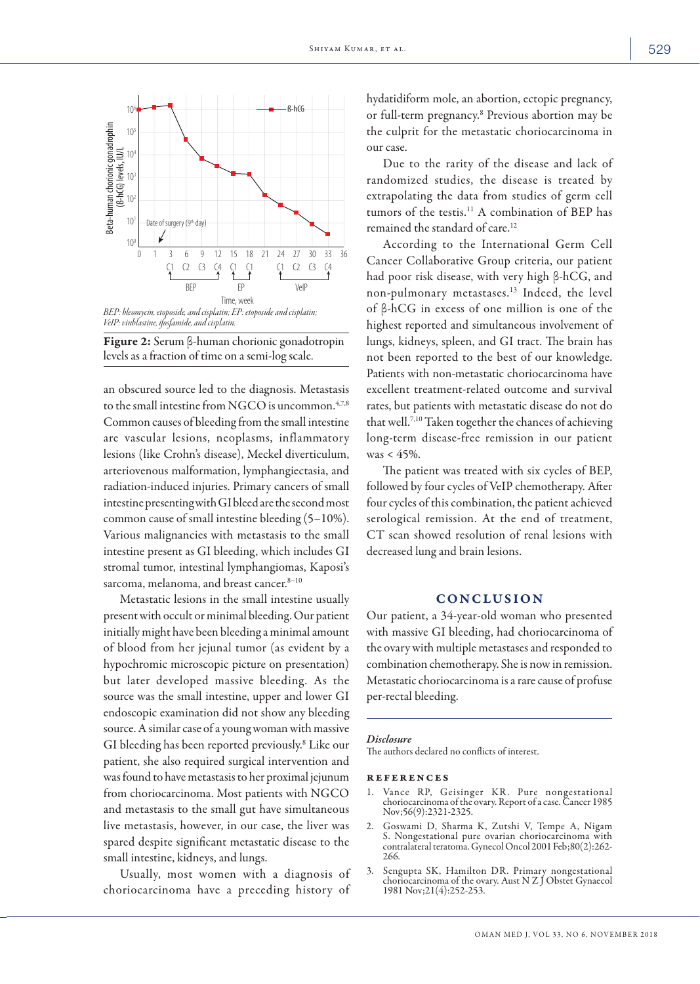



an obscured source led to the diagnosis. Metastasis to the small intestine from NGCO is uncommon.<sup>4,7,8</sup> Common causes of bleeding from the small intestine are vascular lesions, neoplasms, inflammatory lesions (like Crohn's disease), Meckel diverticulum, arteriovenous malformation, lymphangiectasia, and radiation-induced injuries. Primary cancers of small intestine presenting with GI bleed are the second most common cause of small intestine bleeding (5–10%). Various malignancies with metastasis to the small intestine present as GI bleeding, which includes GI stromal tumor, intestinal lymphangiomas, Kaposi's sarcoma, melanoma, and breast cancer.<sup>8-10</sup>

Metastatic lesions in the small intestine usually present with occult or minimal bleeding. Our patient initially might have been bleeding a minimal amount of blood from her jejunal tumor (as evident by a hypochromic microscopic picture on presentation) but later developed massive bleeding. As the source was the small intestine, upper and lower GI endoscopic examination did not show any bleeding source. A similar case of a young woman with massive GI bleeding has been reported previously.8 Like our patient, she also required surgical intervention and was found to have metastasis to her proximal jejunum from choriocarcinoma. Most patients with NGCO and metastasis to the small gut have simultaneous live metastasis, however, in our case, the liver was spared despite significant metastatic disease to the small intestine, kidneys, and lungs.

Usually, most women with a diagnosis of choriocarcinoma have a preceding history of

hydatidiform mole, an abortion, ectopic pregnancy, or full-term pregnancy.8 Previous abortion may be the culprit for the metastatic choriocarcinoma in our case.

Due to the rarity of the disease and lack of randomized studies, the disease is treated by extrapolating the data from studies of germ cell tumors of the testis.<sup>11</sup> A combination of BEP has remained the standard of care.<sup>12</sup>

According to the International Germ Cell Cancer Collaborative Group criteria, our patient had poor risk disease, with very high β-hCG, and non-pulmonary metastases.13 Indeed, the level of β-hCG in excess of one million is one of the highest reported and simultaneous involvement of lungs, kidneys, spleen, and GI tract. The brain has not been reported to the best of our knowledge. Patients with non-metastatic choriocarcinoma have excellent treatment-related outcome and survival rates, but patients with metastatic disease do not do that well.7,10 Taken together the chances of achieving long-term disease-free remission in our patient was  $< 45\%$ .

The patient was treated with six cycles of BEP, followed by four cycles of VeIP chemotherapy. After four cycles of this combination, the patient achieved serological remission. At the end of treatment, CT scan showed resolution of renal lesions with decreased lung and brain lesions.

## CONCLUSION

Our patient, a 34-year-old woman who presented with massive GI bleeding, had choriocarcinoma of the ovary with multiple metastases and responded to combination chemotherapy. She is now in remission. Metastatic choriocarcinoma is a rare cause of profuse per-rectal bleeding.

### *Disclosure*

The authors declared no conflicts of interest.

#### references

- 1. Vance RP, Geisinger KR. Pure nongestational choriocarcinoma of the ovary. Report of a case. Cancer 1985 Nov;56(9):2321-2325.
- 2. Goswami D, Sharma K, Zutshi V, Tempe A, Nigam S. Nongestational pure ovarian choriocarcinoma with contralateral teratoma. Gynecol Oncol 2001 Feb;80(2):262- 266.
- 3. Sengupta SK, Hamilton DR. Primary nongestational choriocarcinoma of the ovary. Aust N Z J Obstet Gynaecol 1981 Nov;21(4):252-253.